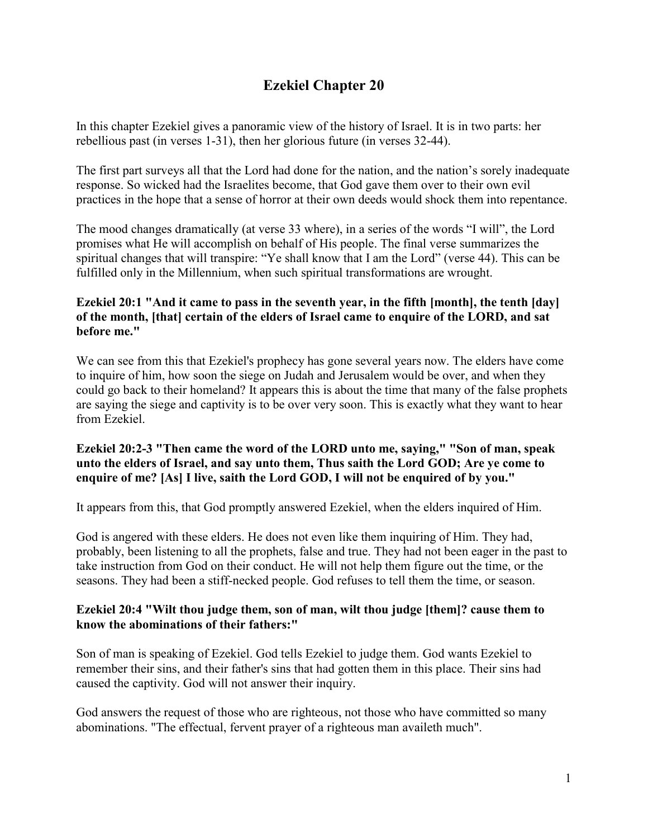# **Ezekiel Chapter 20**

In this chapter Ezekiel gives a panoramic view of the history of Israel. It is in two parts: her rebellious past (in verses 1-31), then her glorious future (in verses 32-44).

The first part surveys all that the Lord had done for the nation, and the nation's sorely inadequate response. So wicked had the Israelites become, that God gave them over to their own evil practices in the hope that a sense of horror at their own deeds would shock them into repentance.

The mood changes dramatically (at verse 33 where), in a series of the words "I will", the Lord promises what He will accomplish on behalf of His people. The final verse summarizes the spiritual changes that will transpire: "Ye shall know that I am the Lord" (verse 44). This can be fulfilled only in the Millennium, when such spiritual transformations are wrought.

# **Ezekiel 20:1 "And it came to pass in the seventh year, in the fifth [month], the tenth [day] of the month, [that] certain of the elders of Israel came to enquire of the LORD, and sat before me."**

We can see from this that Ezekiel's prophecy has gone several years now. The elders have come to inquire of him, how soon the siege on Judah and Jerusalem would be over, and when they could go back to their homeland? It appears this is about the time that many of the false prophets are saying the siege and captivity is to be over very soon. This is exactly what they want to hear from Ezekiel.

# **Ezekiel 20:2-3 "Then came the word of the LORD unto me, saying," "Son of man, speak unto the elders of Israel, and say unto them, Thus saith the Lord GOD; Are ye come to enquire of me? [As] I live, saith the Lord GOD, I will not be enquired of by you."**

It appears from this, that God promptly answered Ezekiel, when the elders inquired of Him.

God is angered with these elders. He does not even like them inquiring of Him. They had, probably, been listening to all the prophets, false and true. They had not been eager in the past to take instruction from God on their conduct. He will not help them figure out the time, or the seasons. They had been a stiff-necked people. God refuses to tell them the time, or season.

#### **Ezekiel 20:4 "Wilt thou judge them, son of man, wilt thou judge [them]? cause them to know the abominations of their fathers:"**

Son of man is speaking of Ezekiel. God tells Ezekiel to judge them. God wants Ezekiel to remember their sins, and their father's sins that had gotten them in this place. Their sins had caused the captivity. God will not answer their inquiry.

God answers the request of those who are righteous, not those who have committed so many abominations. "The effectual, fervent prayer of a righteous man availeth much".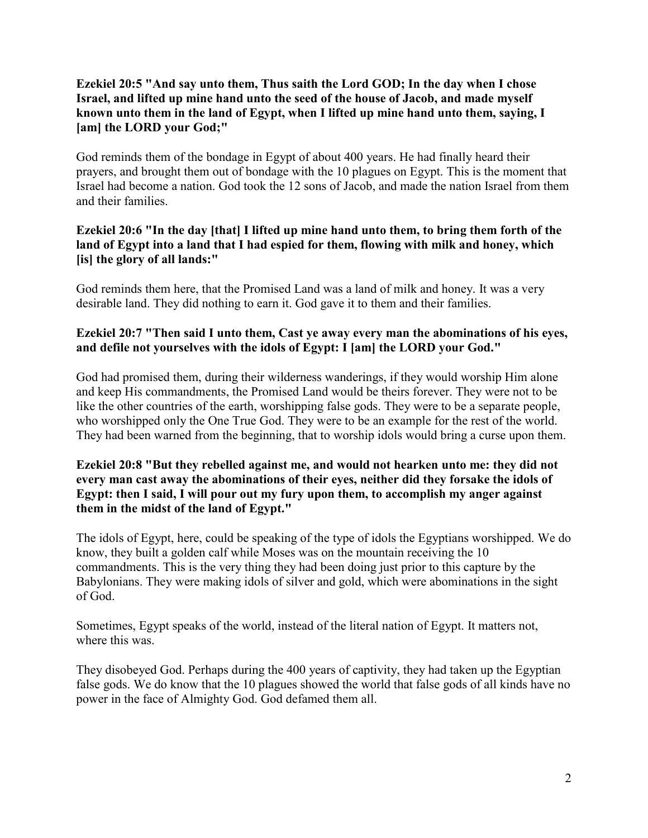#### **Ezekiel 20:5 "And say unto them, Thus saith the Lord GOD; In the day when I chose Israel, and lifted up mine hand unto the seed of the house of Jacob, and made myself known unto them in the land of Egypt, when I lifted up mine hand unto them, saying, I [am] the LORD your God;"**

God reminds them of the bondage in Egypt of about 400 years. He had finally heard their prayers, and brought them out of bondage with the 10 plagues on Egypt. This is the moment that Israel had become a nation. God took the 12 sons of Jacob, and made the nation Israel from them and their families.

# **Ezekiel 20:6 "In the day [that] I lifted up mine hand unto them, to bring them forth of the land of Egypt into a land that I had espied for them, flowing with milk and honey, which [is] the glory of all lands:"**

God reminds them here, that the Promised Land was a land of milk and honey. It was a very desirable land. They did nothing to earn it. God gave it to them and their families.

# **Ezekiel 20:7 "Then said I unto them, Cast ye away every man the abominations of his eyes, and defile not yourselves with the idols of Egypt: I [am] the LORD your God."**

God had promised them, during their wilderness wanderings, if they would worship Him alone and keep His commandments, the Promised Land would be theirs forever. They were not to be like the other countries of the earth, worshipping false gods. They were to be a separate people, who worshipped only the One True God. They were to be an example for the rest of the world. They had been warned from the beginning, that to worship idols would bring a curse upon them.

# **Ezekiel 20:8 "But they rebelled against me, and would not hearken unto me: they did not every man cast away the abominations of their eyes, neither did they forsake the idols of Egypt: then I said, I will pour out my fury upon them, to accomplish my anger against them in the midst of the land of Egypt."**

The idols of Egypt, here, could be speaking of the type of idols the Egyptians worshipped. We do know, they built a golden calf while Moses was on the mountain receiving the 10 commandments. This is the very thing they had been doing just prior to this capture by the Babylonians. They were making idols of silver and gold, which were abominations in the sight of God.

Sometimes, Egypt speaks of the world, instead of the literal nation of Egypt. It matters not, where this was.

They disobeyed God. Perhaps during the 400 years of captivity, they had taken up the Egyptian false gods. We do know that the 10 plagues showed the world that false gods of all kinds have no power in the face of Almighty God. God defamed them all.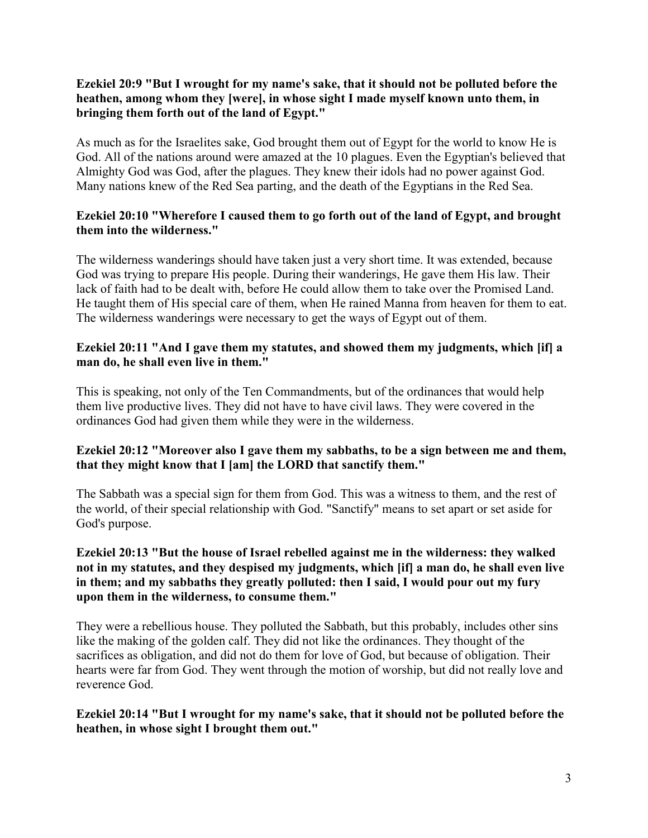# **Ezekiel 20:9 "But I wrought for my name's sake, that it should not be polluted before the heathen, among whom they [were], in whose sight I made myself known unto them, in bringing them forth out of the land of Egypt."**

As much as for the Israelites sake, God brought them out of Egypt for the world to know He is God. All of the nations around were amazed at the 10 plagues. Even the Egyptian's believed that Almighty God was God, after the plagues. They knew their idols had no power against God. Many nations knew of the Red Sea parting, and the death of the Egyptians in the Red Sea.

# **Ezekiel 20:10 "Wherefore I caused them to go forth out of the land of Egypt, and brought them into the wilderness."**

The wilderness wanderings should have taken just a very short time. It was extended, because God was trying to prepare His people. During their wanderings, He gave them His law. Their lack of faith had to be dealt with, before He could allow them to take over the Promised Land. He taught them of His special care of them, when He rained Manna from heaven for them to eat. The wilderness wanderings were necessary to get the ways of Egypt out of them.

#### **Ezekiel 20:11 "And I gave them my statutes, and showed them my judgments, which [if] a man do, he shall even live in them."**

This is speaking, not only of the Ten Commandments, but of the ordinances that would help them live productive lives. They did not have to have civil laws. They were covered in the ordinances God had given them while they were in the wilderness.

# **Ezekiel 20:12 "Moreover also I gave them my sabbaths, to be a sign between me and them, that they might know that I [am] the LORD that sanctify them."**

The Sabbath was a special sign for them from God. This was a witness to them, and the rest of the world, of their special relationship with God. "Sanctify" means to set apart or set aside for God's purpose.

#### **Ezekiel 20:13 "But the house of Israel rebelled against me in the wilderness: they walked not in my statutes, and they despised my judgments, which [if] a man do, he shall even live in them; and my sabbaths they greatly polluted: then I said, I would pour out my fury upon them in the wilderness, to consume them."**

They were a rebellious house. They polluted the Sabbath, but this probably, includes other sins like the making of the golden calf. They did not like the ordinances. They thought of the sacrifices as obligation, and did not do them for love of God, but because of obligation. Their hearts were far from God. They went through the motion of worship, but did not really love and reverence God.

#### **Ezekiel 20:14 "But I wrought for my name's sake, that it should not be polluted before the heathen, in whose sight I brought them out."**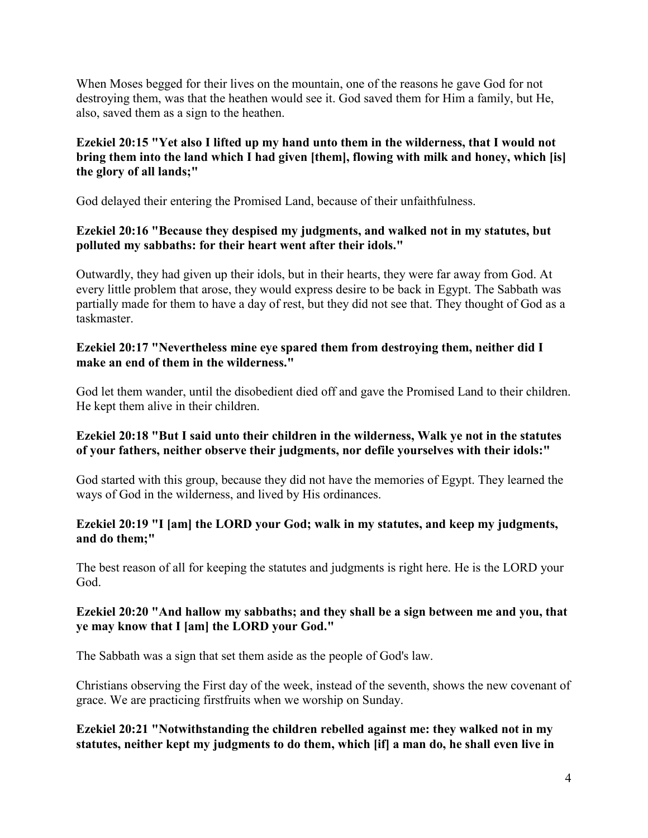When Moses begged for their lives on the mountain, one of the reasons he gave God for not destroying them, was that the heathen would see it. God saved them for Him a family, but He, also, saved them as a sign to the heathen.

# **Ezekiel 20:15 "Yet also I lifted up my hand unto them in the wilderness, that I would not bring them into the land which I had given [them], flowing with milk and honey, which [is] the glory of all lands;"**

God delayed their entering the Promised Land, because of their unfaithfulness.

#### **Ezekiel 20:16 "Because they despised my judgments, and walked not in my statutes, but polluted my sabbaths: for their heart went after their idols."**

Outwardly, they had given up their idols, but in their hearts, they were far away from God. At every little problem that arose, they would express desire to be back in Egypt. The Sabbath was partially made for them to have a day of rest, but they did not see that. They thought of God as a taskmaster.

#### **Ezekiel 20:17 "Nevertheless mine eye spared them from destroying them, neither did I make an end of them in the wilderness."**

God let them wander, until the disobedient died off and gave the Promised Land to their children. He kept them alive in their children.

# **Ezekiel 20:18 "But I said unto their children in the wilderness, Walk ye not in the statutes of your fathers, neither observe their judgments, nor defile yourselves with their idols:"**

God started with this group, because they did not have the memories of Egypt. They learned the ways of God in the wilderness, and lived by His ordinances.

# **Ezekiel 20:19 "I [am] the LORD your God; walk in my statutes, and keep my judgments, and do them;"**

The best reason of all for keeping the statutes and judgments is right here. He is the LORD your God.

# **Ezekiel 20:20 "And hallow my sabbaths; and they shall be a sign between me and you, that ye may know that I [am] the LORD your God."**

The Sabbath was a sign that set them aside as the people of God's law.

Christians observing the First day of the week, instead of the seventh, shows the new covenant of grace. We are practicing firstfruits when we worship on Sunday.

# **Ezekiel 20:21 "Notwithstanding the children rebelled against me: they walked not in my statutes, neither kept my judgments to do them, which [if] a man do, he shall even live in**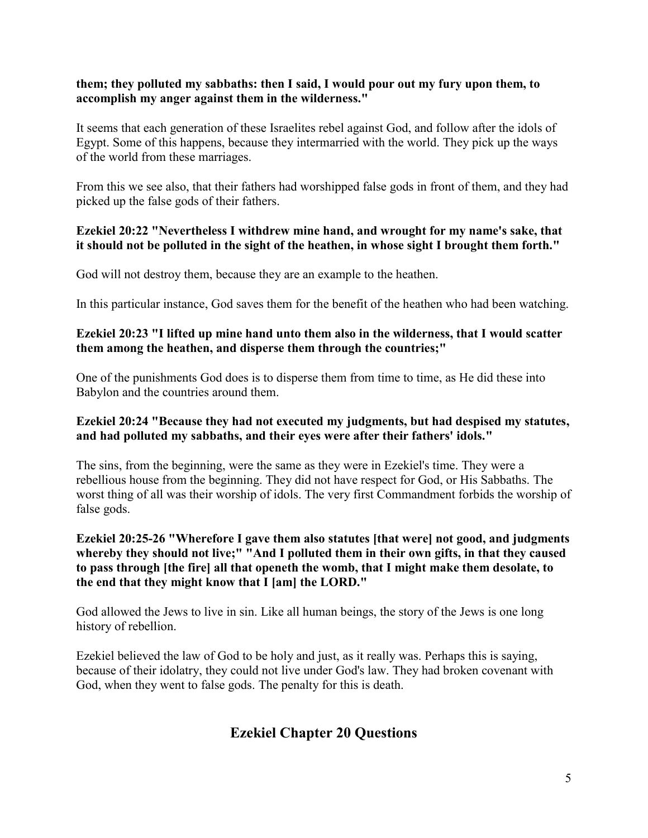#### **them; they polluted my sabbaths: then I said, I would pour out my fury upon them, to accomplish my anger against them in the wilderness."**

It seems that each generation of these Israelites rebel against God, and follow after the idols of Egypt. Some of this happens, because they intermarried with the world. They pick up the ways of the world from these marriages.

From this we see also, that their fathers had worshipped false gods in front of them, and they had picked up the false gods of their fathers.

#### **Ezekiel 20:22 "Nevertheless I withdrew mine hand, and wrought for my name's sake, that it should not be polluted in the sight of the heathen, in whose sight I brought them forth."**

God will not destroy them, because they are an example to the heathen.

In this particular instance, God saves them for the benefit of the heathen who had been watching.

#### **Ezekiel 20:23 "I lifted up mine hand unto them also in the wilderness, that I would scatter them among the heathen, and disperse them through the countries;"**

One of the punishments God does is to disperse them from time to time, as He did these into Babylon and the countries around them.

# **Ezekiel 20:24 "Because they had not executed my judgments, but had despised my statutes, and had polluted my sabbaths, and their eyes were after their fathers' idols."**

The sins, from the beginning, were the same as they were in Ezekiel's time. They were a rebellious house from the beginning. They did not have respect for God, or His Sabbaths. The worst thing of all was their worship of idols. The very first Commandment forbids the worship of false gods.

#### **Ezekiel 20:25-26 "Wherefore I gave them also statutes [that were] not good, and judgments whereby they should not live;" "And I polluted them in their own gifts, in that they caused to pass through [the fire] all that openeth the womb, that I might make them desolate, to the end that they might know that I [am] the LORD."**

God allowed the Jews to live in sin. Like all human beings, the story of the Jews is one long history of rebellion.

Ezekiel believed the law of God to be holy and just, as it really was. Perhaps this is saying, because of their idolatry, they could not live under God's law. They had broken covenant with God, when they went to false gods. The penalty for this is death.

# **Ezekiel Chapter 20 Questions**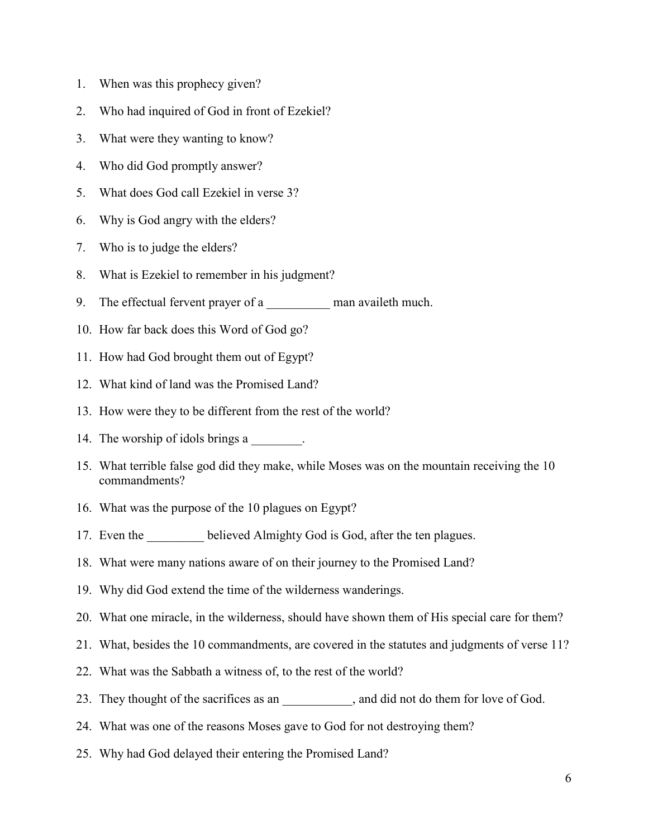- 1. When was this prophecy given?
- 2. Who had inquired of God in front of Ezekiel?
- 3. What were they wanting to know?
- 4. Who did God promptly answer?
- 5. What does God call Ezekiel in verse 3?
- 6. Why is God angry with the elders?
- 7. Who is to judge the elders?
- 8. What is Ezekiel to remember in his judgment?
- 9. The effectual fervent prayer of a man availeth much.
- 10. How far back does this Word of God go?
- 11. How had God brought them out of Egypt?
- 12. What kind of land was the Promised Land?
- 13. How were they to be different from the rest of the world?
- 14. The worship of idols brings a
- 15. What terrible false god did they make, while Moses was on the mountain receiving the 10 commandments?
- 16. What was the purpose of the 10 plagues on Egypt?
- 17. Even the believed Almighty God is God, after the ten plagues.
- 18. What were many nations aware of on their journey to the Promised Land?
- 19. Why did God extend the time of the wilderness wanderings.
- 20. What one miracle, in the wilderness, should have shown them of His special care for them?
- 21. What, besides the 10 commandments, are covered in the statutes and judgments of verse 11?
- 22. What was the Sabbath a witness of, to the rest of the world?
- 23. They thought of the sacrifices as an  $\qquad \qquad$ , and did not do them for love of God.
- 24. What was one of the reasons Moses gave to God for not destroying them?
- 25. Why had God delayed their entering the Promised Land?